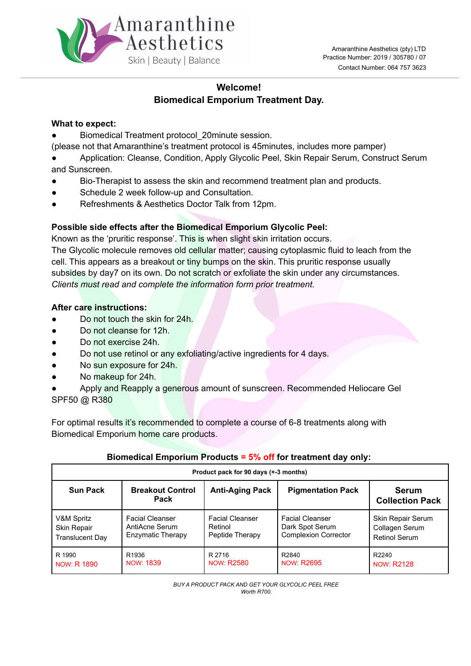

## **Welcome! Biomedical Emporium Treatment Day.**

#### **What to expect:**

- Biomedical Treatment protocol 20minute session.
- (please not that Amaranthine's treatment protocol is 45minutes, includes more pamper)
- Application: Cleanse, Condition, Apply Glycolic Peel, Skin Repair Serum, Construct Serum and Sunscreen.
- Bio-Therapist to assess the skin and recommend treatment plan and products.
- Schedule 2 week follow-up and Consultation.
- Refreshments & Aesthetics Doctor Talk from 12pm.

## **Possible side effects after the Biomedical Emporium Glycolic Peel:**

Known as the 'pruritic response'. This is when slight skin irritation occurs.

The Glycolic molecule removes old cellular matter; causing cytoplasmic fluid to leach from the cell. This appears as a breakout or tiny bumps on the skin. This pruritic response usually subsides by day7 on its own. Do not scratch or exfoliate the skin under any circumstances. *Clients must read and complete the information form prior treatment.*

#### **After care instructions:**

- Do not touch the skin for 24h.
- Do not cleanse for 12h.
- Do not exercise 24h.
- Do not use retinol or any exfoliating/active ingredients for 4 days.
- No sun exposure for 24h.
- No makeup for 24h.
- Apply and Reapply a generous amount of sunscreen. Recommended Heliocare Gel

SPF50 @ R380

For optimal results it's recommended to complete a course of 6-8 treatments along with Biomedical Emporium home care products.

## **Biomedical Emporium Products = 5% off for treatment day only:**

| Product pack for 90 days (+-3 months) |                                        |                        |                             |                                        |  |  |  |
|---------------------------------------|----------------------------------------|------------------------|-----------------------------|----------------------------------------|--|--|--|
| <b>Sun Pack</b>                       | <b>Breakout Control</b><br><b>Pack</b> | <b>Anti-Aging Pack</b> | <b>Pigmentation Pack</b>    | <b>Serum</b><br><b>Collection Pack</b> |  |  |  |
| V&M Spritz                            | <b>Facial Cleanser</b>                 | <b>Facial Cleanser</b> | <b>Facial Cleanser</b>      | Skin Repair Serum                      |  |  |  |
| Skin Repair                           | AntiAcne Serum                         | Retinol                | Dark Spot Serum             | Collagen Serum                         |  |  |  |
| <b>Translucent Day</b>                | Enzymatic Therapy                      | Peptide Therapy        | <b>Complexion Corrector</b> | Retinol Serum                          |  |  |  |
| R 1990                                | R <sub>1936</sub>                      | R 2716                 | R2840                       | R2240                                  |  |  |  |
| NOW: R 1890                           | NOW: 1839                              | NOW: R2580             | <b>NOW: R2695</b>           | <b>NOW: R2128</b>                      |  |  |  |

*BUY A PRODUCT PACK AND GET YOUR GLYCOLIC PEEL FREE Worth R700.*